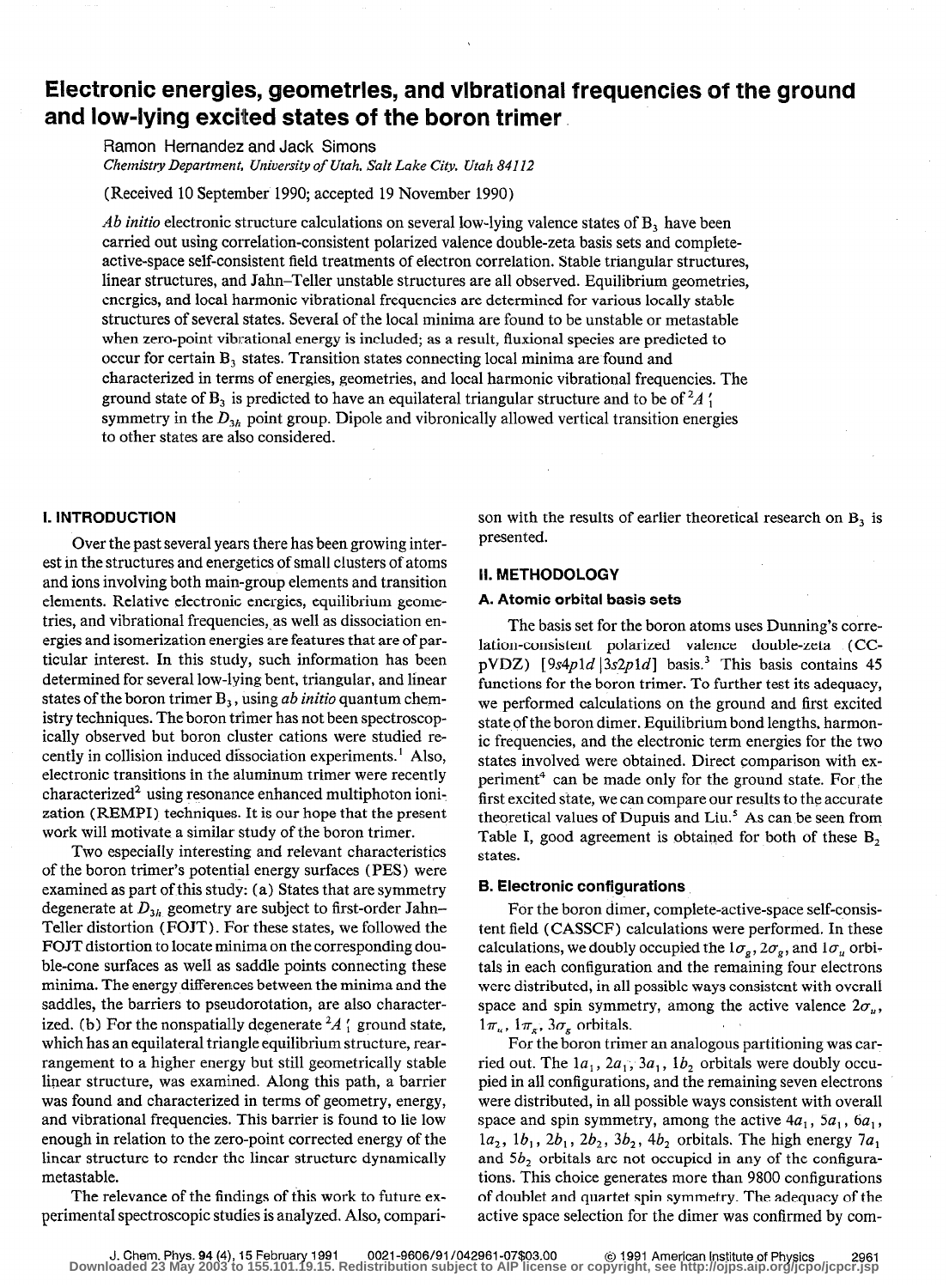# Electronic energies, geometries, and vibrational frequencies of the ground and low-lying excited states of the boron trimer

Ramon Hernandez and Jack Simons Chemistry Department, University of Utah, Salt Lake City, Utah 84112

(Received 10 September 1990; accepted 19 November 1990)

Ab initio electronic structure calculations on several low-lying valence states of  $B<sub>3</sub>$  have been carried out using correlation-consistent polarized valence double-zeta basis sets and completeactive-space self-consistent field treatments of electron correlation. Stable triangular structures, linear structures, and Jahn-Teller unstable structures are all observed. Equilibrium geometries, energies, and local harmonic vibrational frequencies are determined for various locally stable structures of several states. Several of the local minima are found to be unstable or metastable when zero-point vibrational energy is included; as a result, fluxional species are predicted to occur for certain B, states. Transition states connecting local minima are found and characterized in terrns of energies, geometries, and local harmonic vibrational frequencies. The ground state of  $B_3$  is predicted to have an equilateral triangular structure and to be of  ${}^2A_1$ . symmetry in the  $D_{3h}$  point group. Dipole and vibronically allowed vertical transition energies to other states are also considered.

# I. INTRODUCTION

Over the past several years there has been growing interest in the structures and energetics of small clusters of atoms and ions involving both main-group elements and transition elements. Relative electronic energies, equilibrium geometries, and vibrational frequencies, as well as dissociation energies and isomerization energies are features that are of particular interest. In this study, such information has been determined for several low-lying bent, triangular, and linear states of the boron trimer  $B_3$ , using ab initio quantum chemistry techniques. The boron trimer has not been spectroscopically observed but boron cluster cations were studied recently in collision induced dissociation experiments. ' Also, electronic transitions in the aluminum trimer were recently  $characterized<sup>2</sup>$  using resonance enhanced multiphoton ionization (REMPI) techniques. It is our hope that the present work will motivate a similar study of the boron trimer.

Two especially interesting and relevant characteristics of the boron trimer's potential energy surfaces (PES) were examined as part of this study: (a) States that are symmetry degenerate at  $D_{3h}$  geometry are subject to first-order Jahn-Teller distortion (FOJT). For these states, we followed the FOJT distortion to locate minima on the corresponding double-cone surfaces as well as saddle points connecting these minima. The energy differences between the minima and the saddles, the barriers to pseudorotation, are also characterized. (b) For the nonspatially degenerate  ${}^2A_1$  ground state, which has an equilateral triangle equilibrium structure, rearrangement to a higher energy but still geometrically stable linear structure, was examined. Along this path, a barrier was found and characterized in terms of geometry, energy, and vibrational frequencies. This barrier is found to lie low enough in relation to the zero-point corrected energy of the linear structure to render the linear structure dynamically metastable.

The relevance of the findings of this work to future experimental spectroscopic studies is analyzed. Also, comparison with the results of earlier theoretical research on  $B_3$  is presented.

## II. METHODOLOGY

### A. Atomic orbital basis sets

The basis set for the boron atoms uses Dunning's correlation-consistent polarized valence double-zeta (CCpVDZ) [9s4p1d |  $3s2p1d$ ] basis.<sup>3</sup> This basis contains 45 functions for the boron trimer. To further test its adequacy, we performed calculations on the ground and first excited state of the boron dimer. Equilibrium bond lengths, harmonic frequencies, and the electronic term energies for the two states involved were obtained. Direct comparison with experiment<sup>4</sup> can be made only for the ground state. For the first excited state, we can compare our results to the accurate theoretical values of Dupuis and Liu.' As can be seen from Table I, good agreement is obtained for both of these B, states.

## 6. Electronic configurations

For the boron dimer, complete-active-space self-consistent field (CASSCF) calculations were performed. In these calculations, we doubly occupied the  $1\sigma_{g}$ ,  $2\sigma_{g}$ , and  $1\sigma_{u}$  orbitals in each configuration and the remaining four electrons were distributed, in all possible ways consistent with overall space and spin symmetry, among the active valence  $2\sigma_u$ ,  $1\pi_{\nu}$ ,  $1\pi_{\varepsilon}$ ,  $3\sigma_{\varepsilon}$  orbitals.

For the boron trimer an analogous partitioning was carried out. The  $1a_1$ ,  $2a_1$ ,  $3a_1$ ,  $1b_2$  orbitals were doubly occupied in all configurations, and the remaining seven electrons were distributed, in all possible ways consistent with overall space and spin symmetry, among the active  $4a_1$ ,  $5a_1$ ,  $6a_1$ ,  $1a_2$ ,  $1b_1$ ,  $2b_1$ ,  $2b_2$ ,  $3b_2$ ,  $4b_2$  orbitals. The high energy  $7a_1$ and 5b, orbitals are not occupied in any of the configurations. This choice generates more than 9800 configurations of doublet and quartet spin symmetry. The adequacy of the active space selection for the dimer was confirmed by com-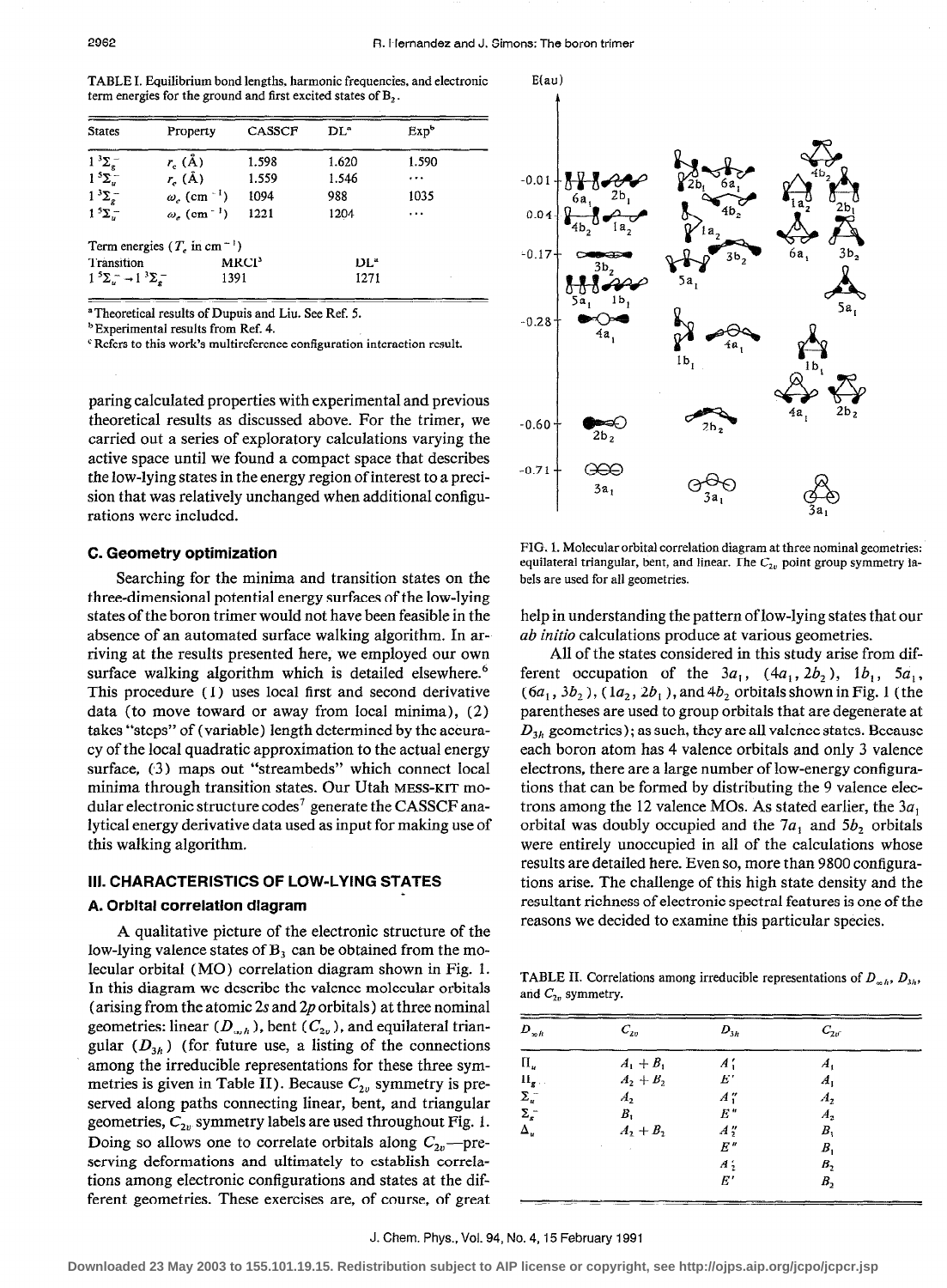TABLE I. Equilibrium bond lengths, harmonic frequencies, and electronic term energies for the ground and first excited states of B,.

|                            | Property                                | CASSCF | $DL^{\circ}$ | Exp <sup>b</sup> |
|----------------------------|-----------------------------------------|--------|--------------|------------------|
| $1^{3}\Sigma_{\sigma}^{-}$ | $r_c(\text{\AA})$                       | 1.598  | 1.620        | 1.590            |
| $1^5\Sigma^-$              | $r_e$ (Å)                               | 1.559  | 1.546        | $\cdots$         |
| $1^{3}\Sigma_{e}^{-}$      | $\omega_e$ (cm <sup>-1</sup> )          | 1094   | 988          | 1035             |
| $15\Sigma$ .               | $\omega_{\epsilon}$ (cm <sup>-1</sup> ) | 1221   | 1204         | $\cdots$         |

"Theoretical results of Dupuis and Liu. See Ref. 5.

**b** Experimental results from Ref. 4.

 $\textdegree$  Refers to this work's multireference configuration interaction result.

paring calculated properties with experimental and previous theoretical results as discussed above. For the trimer, we carried out a series of exploratory calculations varying the active space until we found a compact space that describes the low-lying states in the energy region of interest to a precision that was relatively unchanged when additional configurations were included.

### C. Geometry optimization

Searching for the minima and transition states on the three-dimensional potential energy surfaces of the low-lying states of the boron trimer would not have been feasible in the absence of an automated surface walking algorithm. In arriving at the results presented here, we employed our own surface walking algorithm which is detailed elsewhere.<sup>6</sup> This procedure (1) uses local first and second derivative data (to move toward or away from local minima), (2) takes "steps" of (variable) length determined by the accuracy of the local quadratic approximation to the actual energy surface, (3) maps out "streambeds" which connect local minima through transition states. Our Utah MESS-KIT modular electronic structure codes' generate the CASSCF analytical energy derivative data used as input for making use of this walking algorithm.

## III. CHARACTERISTICS OF LOW-LYING STATES

### A. Orbital correlation diagram

A qualitative picture of the electronic structure of the low-lying valence states of  $B<sub>3</sub>$  can be obtained from the molecular orbital (MO) correlation diagram shown in Fig. 1. In this diagram we describe the valence molecular orbitals (arising from the atomic 2s and 2p orbitals) at three nominal geometries: linear ( $D_{\alpha,h}$ ), bent ( $C_{2v}$ ), and equilateral triangular  $(D_{3h})$  (for future use, a listing of the connections among the irreducible representations for these three symmetries is given in Table II). Because  $C_{2v}$  symmetry is preserved along paths connecting linear, bent, and triangular geometries,  $C_{2v}$  symmetry labels are used throughout Fig. 1. Doing so allows one to correlate orbitals along  $C_{2v}$ —preserving deformations and ultimately to establish correlations among electronic configurations and states at the different geometries. These exercises are, of course, of great



FIG. 1. Molecular orbital correlation diagram at three nominal geometries: equilateral triangular, bent, and linear. The  $C_{2\nu}$  point group symmetry labels are used for all geometries.

help in understanding the pattern of low-lying states that our ab initio calculations produce at various geometries.

All of the states considered in this study arise from different occupation of the  $3a_1$ ,  $(4a_1, 2b_2)$ ,  $1b_1$ ,  $5a_1$ ,  $(6a_1, 3b_2)$ ,  $(1a_2, 2b_1)$ , and  $4b_2$  orbitals shown in Fig. 1 (the parentheses are used to group orbitals that are degenerate at  $D_{3h}$  geometries); as such, they are all valence states. Because each boron atom has 4 valence orbitals and only 3 valence electrons, there are a large number of low-energy configurations that can be formed by distributing the 9 valence electrons among the 12 valence MOs. As stated earlier, the  $3a_1$ orbital was doubly occupied and the  $7a_1$  and  $5b_2$  orbitals were entirely unoccupied in all of the calculations whose results are detailed here. Even so, more than 9800 configurations arise. The challenge of this high state density and the resultant richness of electronic spectral features is one of the reasons we decided to examine this particular species.

TABLE II. Correlations among irreducible representations of  $D_{\alpha h}$ ,  $D_{3h}$ , and  $C_{2v}$  symmetry.

| $D_{\infty h}$     | $C_{2v}$    | $D_{3h}$         | $C_{2r}$           |  |
|--------------------|-------------|------------------|--------------------|--|
| $\prod_{u}$        | $A_1 + B_1$ | A',              | А,                 |  |
| $\Pi_{g}$ .        | $A_2 + B_2$ | $E^{\prime}$     | A,                 |  |
| $\Sigma_u^-$       | A,          | A''              | $\boldsymbol{A}$ , |  |
| $\Sigma_{\rm g}^-$ | $B_{1}$     | $E$ "            | $A_{2}$            |  |
| Δ.,                | $A_2 + B_2$ | $A''_2$          | В,                 |  |
|                    | $\sim 100$  | Е"               | В,                 |  |
|                    |             | $\boldsymbol{A}$ | B <sub>2</sub>     |  |
|                    |             | E'               | В,                 |  |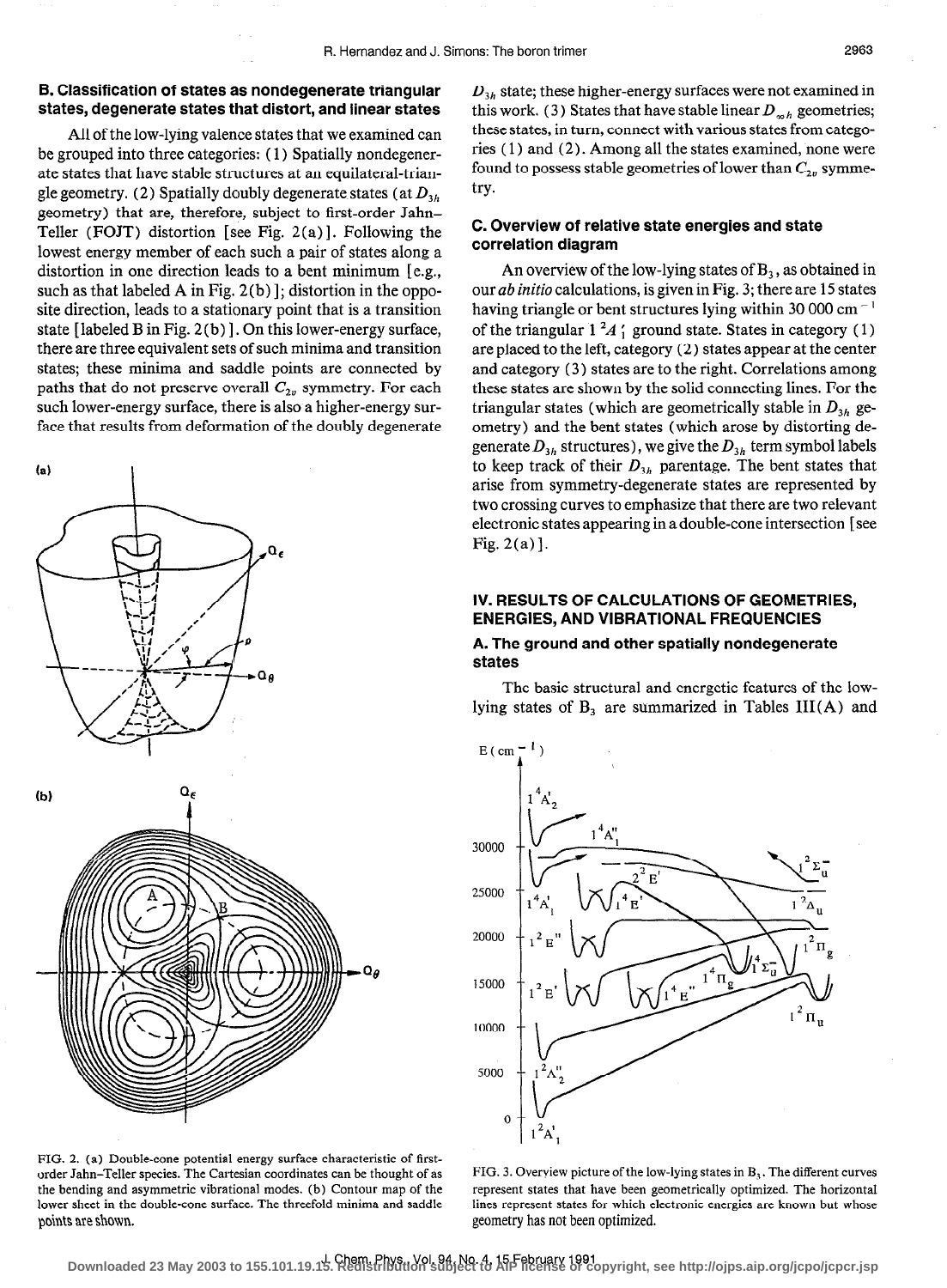# B. Classification of states as nondegenerate triangular states, degenerate states that distort, and linear states

All of the low-lying valence states that we examined can be grouped into three categories: ( 1) Spatially nondegenerate states that have stable structures at an equilateral-triangle geometry. (2) Spatially doubly degenerate states (at  $D_{3h}$ geometry) that are, therefore, subject to first-order Jahn-Teller (FOJT) distortion [see Fig.  $2(a)$ ]. Following the lowest energy member of each such a pair of states along a distortion in one direction leads to a bent minimum [e.g., such as that labeled A in Fig.  $2(b)$ ]; distortion in the opposite direction, leads to a stationary point that is a transition state [labeled B in Fig. 2 (b) 1. On this lower-energy surface, there are three equivalent sets of such minima and transition states; these minima and saddle points are connected by paths that do not preserve overall  $C_{2v}$  symmetry. For each such lower-energy surface, there is also a higher-energy surface that results from deformation of the doubly degenerate



FIG. 2. (a) Double-cone potential energy surface characteristic of firstorder Jahn-Teller species. The Cartesian coordinates can be thought of as the bending and asymmetric vibrational modes. (b) Contour map of the lower sheet in the double-cone surface. The threefold minima and saddle points are shown.

 $D_{3h}$  state; these higher-energy surfaces were not examined in this work. (3) States that have stable linear  $D_{\varphi h}$  geometries; these states, in turn, connect with various states from categories ( 1) and (2). Among all the states examined, none were found to possess stable geometries of lower than  $C_{2n}$  symmetry.

# C. Overview of relative state energies and state correlation diagram

An overview of the low-lying states of  $B_3$ , as obtained in our ab initio calculations, is given in Fig. 3; there are 15 states having triangle or bent structures lying within 30 000 cm<sup> $-1$ </sup> of the triangular  $1^2A'$ ; ground state. States in category (1) are placed to the left, category (2) states appear at the center and category (3) states are to the right. Correlations among these states are shown by the solid connecting lines. For the triangular states (which are geometrically stable in  $D_{3h}$  geometry) and the bent states (which arose by distorting degenerate  $D_{3h}$  structures), we give the  $D_{3h}$  term symbol labels to keep track of their  $D_{3h}$  parentage. The bent states that arise from symmetry-degenerate states are represented by two crossing curves to emphasize that there are two relevant electronic states appearing in a double-cone intersection [see Fig. 2(a)].

# IV. RESULTS OF CALCULATIONS OF GEOMETRIES, ENERGIES, AND VIBRATIONAL FREQUENCIES

## A. The ground and other spatially nondegenerate states

The basic structural and energetic features of the lowlying states of  $B_3$  are summarized in Tables III(A) and



FIG. 3. Overview picture of the low-lying states in B,. The different curves represent states that have been geometrically optimized. The horizontal lines represent states for which electronic energies are known but whose geometry has not been optimized.

J. Chem. Phys., Vol. 94, No. 4,15 February 1991 **Downloaded 23 May 2003 to 155.101.19.15. Redistribution subject to AIP license or copyright, see http://ojps.aip.org/jcpo/jcpcr.jsp**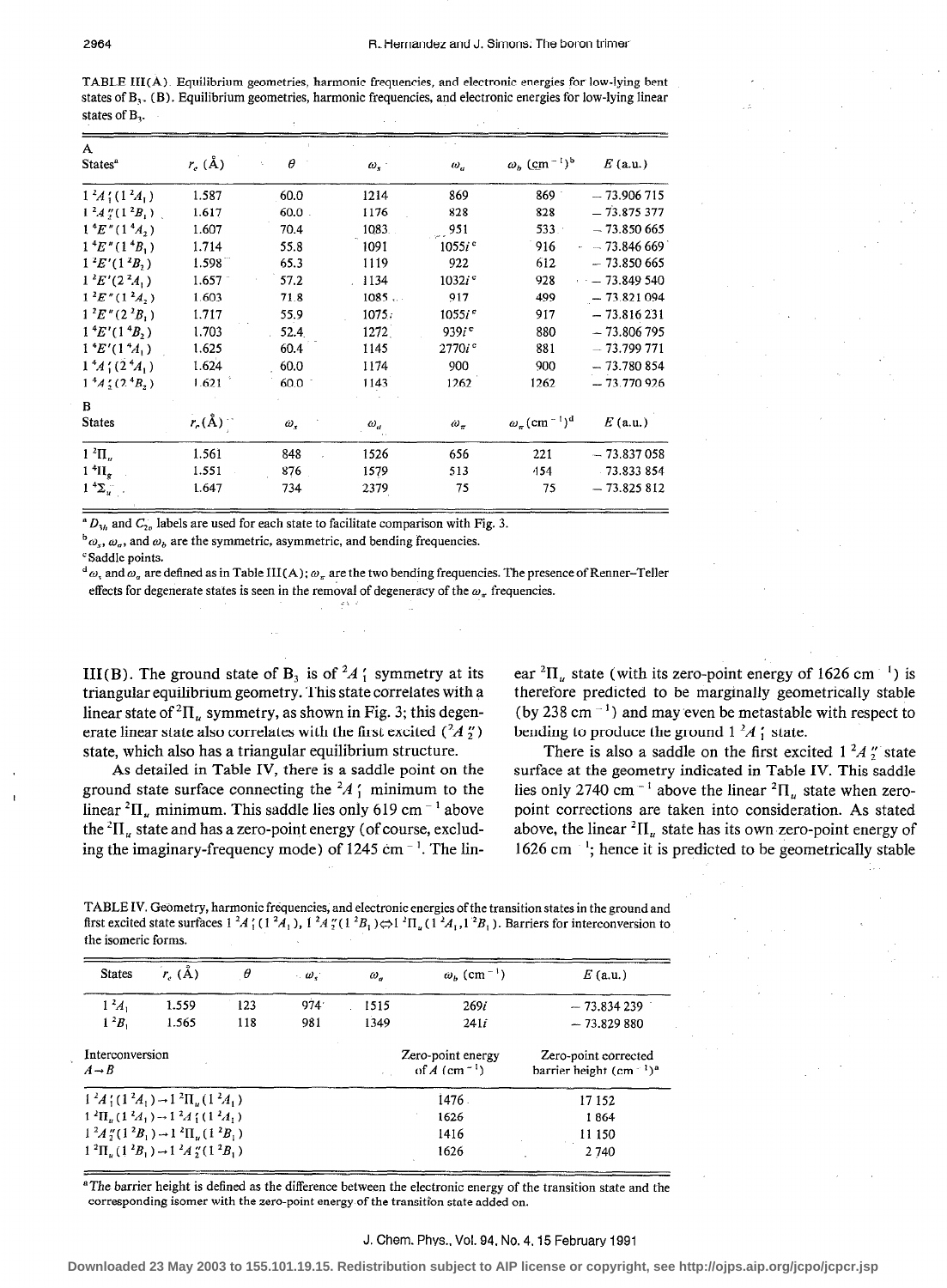| TABLE III(A). Equilibrium geometries, harmonic frequencies, and electronic energies for low-lying bent            |  |  |
|-------------------------------------------------------------------------------------------------------------------|--|--|
| states of $B_3$ . (B). Equilibrium geometries, harmonic frequencies, and electronic energies for low-lying linear |  |  |
| states of $B_3$ .                                                                                                 |  |  |

| A<br>States <sup>a</sup>                 | $r_c$ (Å)          | $\theta$   | $\omega_{\rm x}$ . | $\omega_{\rm c}$    | $\omega_b$ (cm <sup>-1</sup> ) <sup>b</sup>     | $E$ (a.u.)    |
|------------------------------------------|--------------------|------------|--------------------|---------------------|-------------------------------------------------|---------------|
| $1^2A_1'(1^2A_1)$                        | 1.587              | 60.0       | 1214               | 869                 | $869 -$                                         | $-73.906715$  |
| $1^2A''(1^2B_1)$                         | 1.617              | $60.0$ .   | 1176               | 828                 | 828                                             | $-73.875.377$ |
| $1 \, {}^4E''(1 \, {}^4A, )$             | 1.607              | 70.4       | 1083               | 951                 | 533                                             | $-73.850665$  |
| $1 \, {}^4E''(1 \, {}^4B_1)$             | 1.714              | 55.8       | 1091               | $1055i^{\circ}$     | 916                                             | $-73.846669$  |
| $1 \, {}^2E' (1 \, {}^2B_2)$             | 1.598              | 65.3       | 1119               | 922                 | 612                                             | $-73.850665$  |
| $1^2E'(2^2A_1)$                          | 1.657              | 57.2       | 1134               | $1032i^c$           | 928                                             | $-73.849540$  |
| $1^2E''(1^2A, )$                         | 1.603              | 71.8       | 1085               | 917                 | 499                                             | $-73.821094$  |
| $1^2E''(2^2B_1)$                         | 1.717              | 55.9       | 1075.              | 1055i <sup>c</sup>  | 917                                             | $-73.816231$  |
| $1 \, {}^4E' (1 \, {}^4B_2)$             | 1.703              | 52.4       | 1272               | $939i$ <sup>c</sup> | 880                                             | $-73.806795$  |
| $1 \, {}^4E' (1 \, {}^4A_1)$             | 1.625              | 60.4       | 1145               | 2770i <sup>e</sup>  | 881                                             | $-73.799771$  |
| $14A'_{1}(24A_{1})$                      | 1.624              | 60.0       | 1174               | 900                 | 900                                             | $-73.780854$  |
| $14A$ ; (2 <sup>4</sup> B <sub>2</sub> ) | 1.621              | 60.0       | 1143               | 1262                | 1262                                            | $-73.770926$  |
| B.                                       |                    |            |                    |                     |                                                 |               |
| <b>States</b>                            | $r_{\rm c}(\rm A)$ | $\omega$ , | $\omega_a$         | $\omega_{\pi}$      | $\omega_{\pi}$ (cm <sup>-1</sup> ) <sup>d</sup> | $E$ (a.u.)    |
| $1 \ ^2\Pi_u$                            | 1.561              | 848        | 1526               | 656                 | 221                                             | $-73.837058$  |
| 1 <sup>4</sup> H <sub>g</sub>            | 1.551              | 876        | 1579               | 513                 | 454                                             | $-73.833854$  |
| $1 \, {}^4\Sigma_u$                      | 1.647              | 734        | 2379               | 75                  | 75                                              | $-73.825812$  |

 $^*D_{3h}$  and  $C_{2h}$  labels are used for each state to facilitate comparison with Fig. 3.

 $\phi_{\omega_s}$ ,  $\omega_a$ , and  $\omega_b$  are the symmetric, asymmetric, and bending frequencies.

'Saddle points.

 $d\omega$ , and  $\omega_n$  are defined as in Table III(A);  $\omega_n$  are the two bending frequencies. The presence of Renner-Teller effects for degenerate states is seen in the removal of degeneracy of the  $\omega_\pi$  frequencies.

III(B). The ground state of B<sub>3</sub> is of  $^2A'$ ; symmetry at its triangular equilibrium geometry. This state correlates with a linear state of  ${}^{2}$ II<sub>u</sub> symmetry, as shown in Fig. 3; this degenerate linear state also correlates with the first excited  $(^2A_2'')$ state, which also has a triangular equilibrium structure.

As detailed in Table IV, there is a saddle point on the ground state surface connecting the  ${}^2A_1'$  minimum to the linear  ${}^{2}$ II<sub>u</sub> minimum. This saddle lies only 619 cm<sup>-1</sup> above the  ${}^{2}$ II<sub>u</sub> state and has a zero-point energy (of course, excluding the imaginary-frequency mode) of  $1245 \text{ cm}^{-1}$ . The linear  ${}^{2}$ II<sub>u</sub> state (with its zero-point energy of 1626 cm<sup>-1</sup>) is therefore predicted to be marginally geometrically stable (by 238 cm $^{-1}$ ) and may even be metastable with respect to bending to produce the ground  $1^2A_1$ ' state.

There is also a saddle on the first excited  $1^2A''_2$  state surface at the geometry indicated in Table IV. This saddle lies only 2740 cm<sup>-1</sup> above the linear  ${}^{2}$ H<sub>u</sub> state when zeropoint corrections are taken into consideration. As stated above, the linear  ${}^{2}$ II<sub>u</sub> state has its own zero-point energy of 1626 cm $^{-1}$ ; hence it is predicted to be geometrically stable

TABLE IV. Geometry, harmonic frequencies, and electronic energies ofthe transition states in the ground and first excited state surfaces  $1^2A'_1(1^2A_1)$ ,  $1^2A''_2(1^2B_1) \rightleftharpoons 1^2\Pi_u(1^2A_1,1^2B_1)$ . Barriers for interconversion to the isomeric forma.

| <b>States</b>                        | $r_{\rm c}$ (Å)                                                 | $\theta$ | $\cdot$ $\omega$ . | $\omega_{a}$ | $\omega_h$ (cm <sup>-1</sup> )                  | $E$ (a,u,)                                       |
|--------------------------------------|-----------------------------------------------------------------|----------|--------------------|--------------|-------------------------------------------------|--------------------------------------------------|
| $1^2A_1$                             | 1.559                                                           | 123      | 974                | 1515         | 269i                                            | $-73.834239$                                     |
| $1^2B_1$                             | 1.565                                                           | 118      | 981                | 1349         | 241i                                            | $-73.829880$                                     |
| Interconversion<br>$A \rightarrow B$ |                                                                 |          |                    |              | Zero-point energy<br>of $A$ (cm <sup>-1</sup> ) | Zero-point corrected<br>barrier height $(cm-1)a$ |
|                                      | $1^2A$ ; $(1^2A_1) \rightarrow 1^2\Pi$ , $(1^2A_1)$             |          |                    |              | 1476.                                           | 17 15 2                                          |
|                                      | $1^2\Pi_u(1^2A_1) \rightarrow 1^2A_1^2(1^2A_1)$                 |          |                    |              | 1626                                            | 1864                                             |
|                                      | $1^2A''(1^2B_1) \rightarrow 1^2\Pi_u(1^2B_1)$                   |          |                    |              | 1416                                            | 11 150                                           |
|                                      | $1^{2}\Pi_{u}(1^{2}B_{1}) \rightarrow 1^{2}A_{2}''(1^{2}B_{1})$ |          |                    |              | 1626                                            | 2740                                             |

<sup>a</sup>The barrier height is defined as the difference between the electronic energy of the transition state and the corresponding isomer with the zero-point energy of the transition state added on.

#### J. Chem. Phys., Vol. 94, No. 4.15 February 1991

**Downloaded 23 May 2003 to 155.101.19.15. Redistribution subject to AIP license or copyright, see http://ojps.aip.org/jcpo/jcpcr.jsp**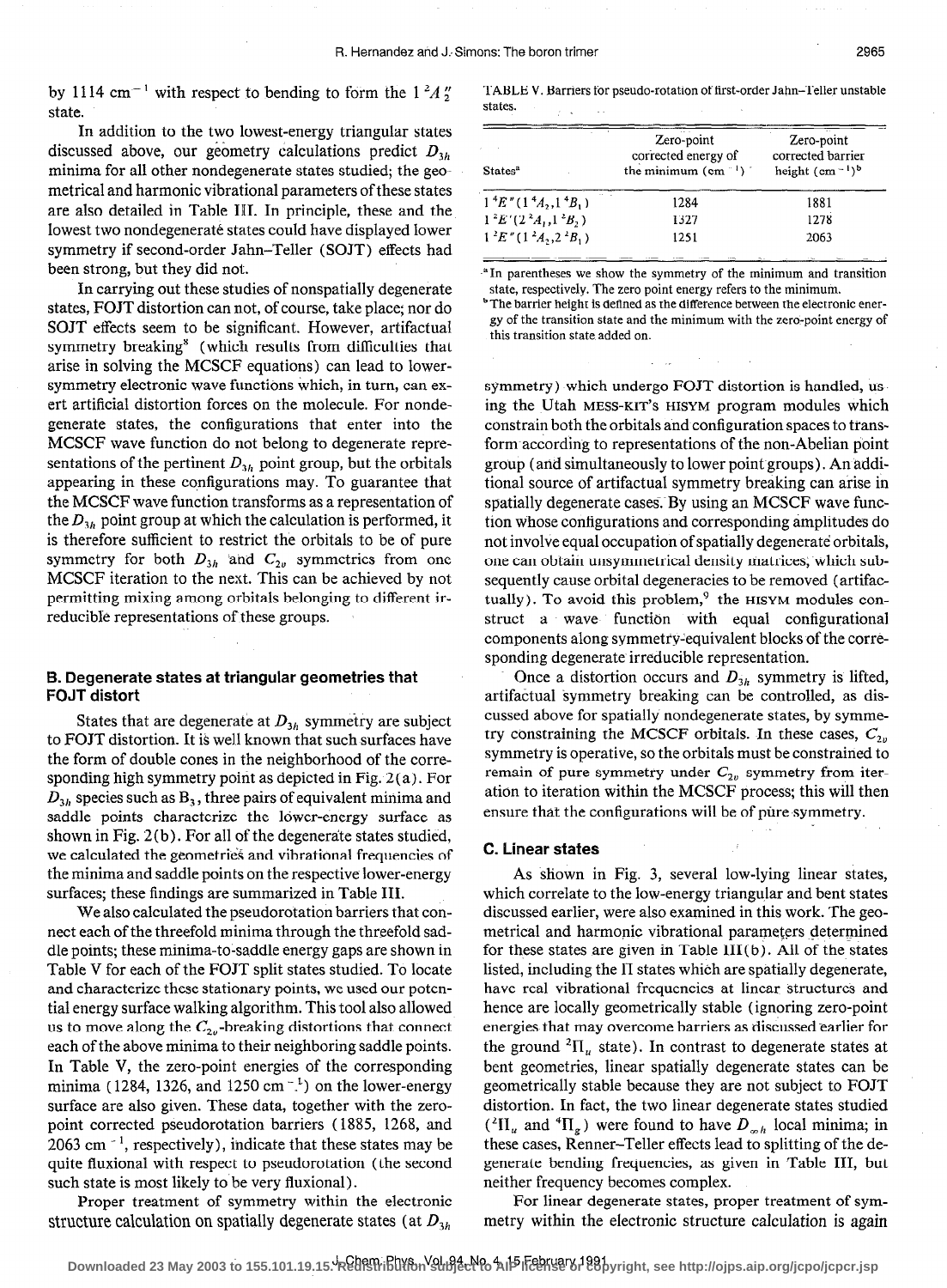by 1114 cm<sup>-1</sup> with respect to bending to form the  $1<sup>2</sup>A''$ state.

In addition to the two lowest-energy triangular states discussed above, our geometry calculations predict  $D_{y_h}$ minima for all other nondegenerate states studied; the geometrical and harmonic vibrational parameters of these states are also detailed in Table III. In principle, these and the lowest two nondegeneraté states could have displayed lower symmetry if second-order Jahn-Teller (SOJT) effects had been strong, but they did not.

In carrying out these studies of nonspatially degenerate states, FOJT distortion can not, of course, take place; nor do SOJT effects seem to be significant. However, artifactual symmetry breaking<sup>8</sup> (which results from difficulties that arise in solving the MCSCF equations) can lead to lowersymmetry electronic wave functions which, in turn, can exert artificial distortion forces on the molecule. For nondegenerate states, the configurations that enter into the MCSCF wave function do not belong to degenerate representations of the pertinent  $D_{3h}$  point group, but the orbitals appearing in these configurations may. To guarantee that the MCSCF wave function transforms as a representation of the  $D_{3h}$  point group at which the calculation is performed, it is therefore sufficient to restrict the orbitals to be of pure symmetry for both  $D_{3h}$  and  $C_{2v}$  symmetries from one MCSCF iteration to the next. This can be achieved by not permitting mixing among orbitals belonging to different irreducible representations of these groups.

## B. Degenerate states at triangular geometries that FOJT distort

States that are degenerate at  $D_{3h}$  symmetry are subject to FOJT distortion. It is well known that such surfaces have the form of double cones in the neighborhood of the corresponding high symmetry point as depicted in Fig. 2 (a). For  $D_{3h}$  species such as  $B_3$ , three pairs of equivalent minima and saddle points characterize the lower-energy surface as shown in Fig. 2(b). For all of the degenerate states studied, we calculated the geometries and vibrational frequencies of the minima and saddle points on the respective lower-energy surfaces; these findings are summarized in Table III.

We also calculated the pseudorotation barriers that connect each of the threefold minima through the threefold saddle points; these minima-to-saddle energy gaps are shown in Table V for each of the FOJT split states studied. To locate and characterize these stationary points, we used our potential energy surface walking algorithm. This tool also allowed us to move along the  $C_{2v}$ -breaking distortions that connect each of the above minima to their neighboring saddle points. In Table V, the zero-point energies of the corresponding minima (1284, 1326, and 1250 cm $^{-1}$ ) on the lower-energy surface are also given. These data, together with the zeropoint corrected pseudorotation barriers (1885, 1268, and 2063 cm $^{-1}$ , respectively), indicate that these states may be quite fluxional with respect to pseudorotation (the second such state is most likely to be very fluxional) .

structure calculation on spatially degenerate states (at  $D_{3h}$  metry within the electronic structure calculation is again

TABLE V. Barriers for pseudo-rotation of first-order Jahn-Teller unstable states.

| States <sup>a</sup>                                   | Zero-point<br>corrected energy of<br>the minimum $(cm-1)$ | Zero-point<br>corrected barrier<br>height $(cm-1)b$ |  |
|-------------------------------------------------------|-----------------------------------------------------------|-----------------------------------------------------|--|
| $\sim$<br>$1 \, {}^4E'' (1 \, {}^4A_2, 1 \, {}^4B_1)$ | 1284                                                      | 1881                                                |  |
| $1^2E'(2^2A_1, 1^2B_2)$                               | 1327                                                      | 1278                                                |  |
| $1^2E''(1^2A_2,2^2B_1)$                               | 1251                                                      | 2063                                                |  |

<sup>a</sup>In parentheses we show the symmetry of the minimum and transition state, respectively. The zero point energy refers to the minimum.

<sup>b</sup> The barrier height is defined as the difference between the electronic energy of the transition state and the minimum with the zero-point energy of this transition state added on.

symmetry) which undergo FOJT distortion is handled, using the Utah MESS-KIT'S HISYM program modules which constrain both the orbitals and configuration spaces to transform according to representations of the non-Abelian point group (and simultaneously to lower point groups). An additional source of artifactual symmetry breaking can arise in spatially degenerate cases. By using an MCSCF wave function whose configurations and corresponding amplitudes do not involve equal occupation of spatially degenerate orbitals, one can obtain unsymmetrical density matrices, which subsequently cause orbital degeneracies to be removed (artifactually). To avoid this problem, $9$  the HISYM modules construct a wave function with equal configurational components along symmetry:equivalent blocks of the corresponding degenerate irreducible representation.

Once a distortion occurs and  $D_{i,h}$  symmetry is lifted, artifactual symmetry breaking can be controlled, as discussed above for spatially nondegenerate states, by symmetry constraining the MCSCF orbitals. In these cases,  $C_{2n}$ symmetry is operative, so the orbitals must be constrained to remain of pure symmetry under  $C_{2v}$  symmetry from iteration to iteration within the MCSCF process; this will then ensure that the configurations will be of pure symmetry.

#### C. Linear states

As shown in Fig. 3, several low-lying linear states, which correlate to the low-energy triangular and bent states discussed earlier, were also examined in this work. The geometrical and harmonic vibrational parameters determined for these states are given in Table III $(b)$ . All of the states listed, including the II states which are spatially degenerate, have real vibrational frequencies at linear structures and hence are locally geometrically stable (ignoring zero-point energies that may overcome barriers as discussed earlier for the ground  ${}^{2}$ II<sub>u</sub> state). In contrast to degenerate states at bent geometries, linear spatially degenerate states can be geometrically stable because they are not subject to FOJT distortion. In fact, the two linear degenerate states studied  $({}^{2}\Pi_{u}$  and  ${}^{4}\Pi_{g}$ ) were found to have  $D_{mh}$  local minima; in these cases, Renner-Teller effects lead to splitting of the degenerate bending frequencies, as given in Table III, but neither frequency becomes complex.

Proper treatment of symmetry within the electronic For linear degenerate states, proper treatment of sym-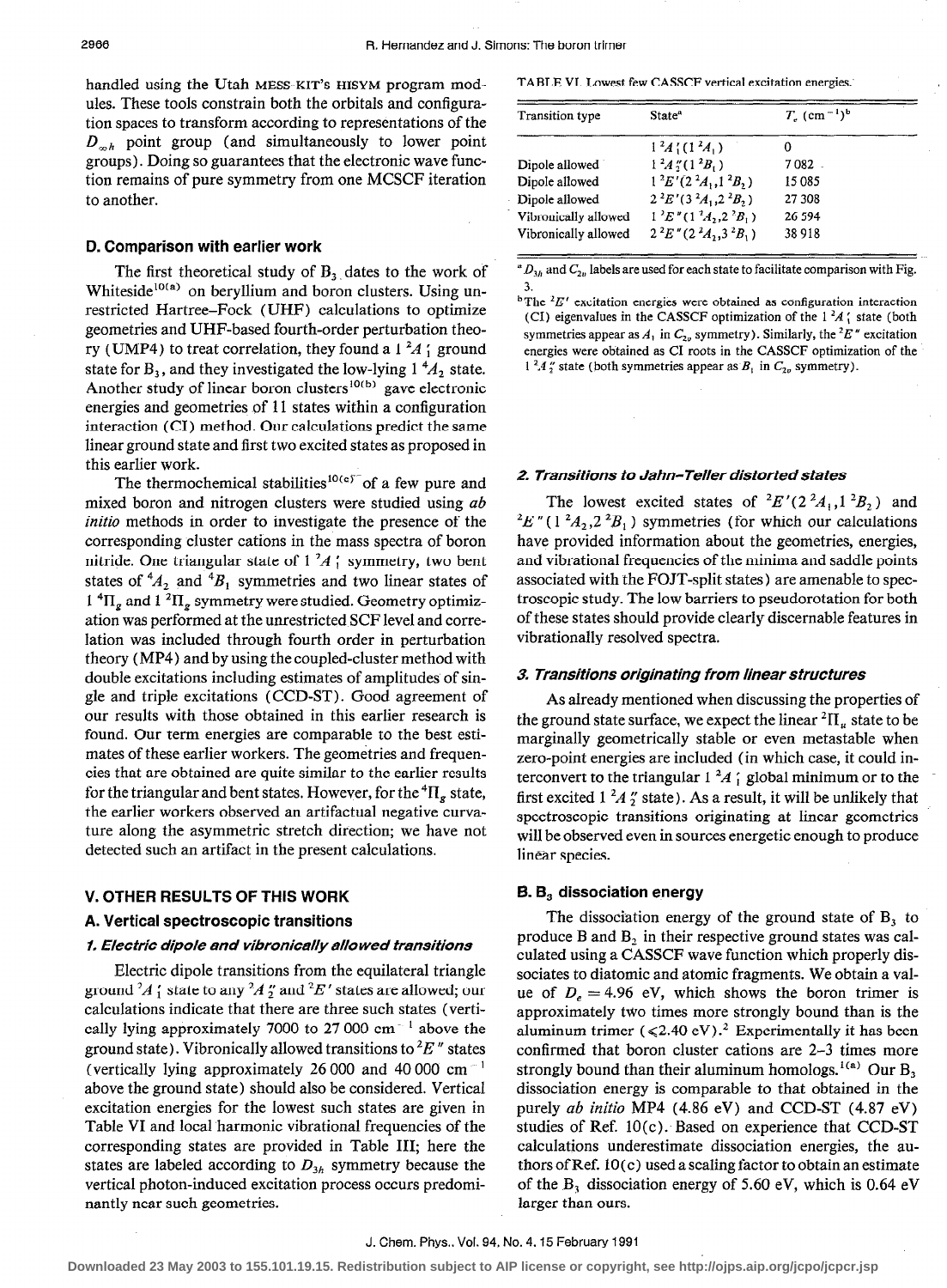handled using the Utah MESS-KIT'S HISYM program modules. These tools constrain both the orbitals and configuration spaces to transform according to representations of the  $D_{n,h}$  point group (and simultaneously to lower point groups). Doing so guarantees that the electronic wave function remains of pure symmetry from one MCSCF iteration to another.

## D. Comparison with earlier work

The first theoretical study of  $B<sub>3</sub>$ , dates to the work of Whiteside<sup>10(a)</sup> on beryllium and boron clusters. Using unrestricted Hartree-Fock (UHF) calculations to optimize geometries and UHF-based fourth-order perturbation theory (UMP4) to treat correlation, they found a 1  $^{2}$ A  $'_{1}$  ground state for  $B_3$ , and they investigated the low-lying  $1<sup>4</sup>A_2$  state. Another study of linear boron clusters<sup>10(b)</sup> gave electronic energies and geometries of 11 states within a configuration interaction (CI) method. Our calculations predict the same linear ground state and first two excited states as proposed in this earlier work.

The thermochemical stabilities<sup>10(c)</sup> of a few pure and mixed boron and nitrogen clusters were studied using ab initio methods in order to investigate the presence of the corresponding cluster cations in the mass spectra of boron nitride. One triangular state of  $1^2A$ ; symmetry, two bent states of  ${}^4A_2$  and  ${}^4B_1$  symmetries and two linear states of 1  ${}^{4}$ H<sub>g</sub> and 1  ${}^{2}$ H<sub>g</sub> symmetry were studied. Geometry optimization was performed at the unrestricted SCF level and correlation was included through fourth order in perturbation theory (MP4) and by using the coupled-cluster method with double excitations including estimates of amplitudes of single and triple excitations (CCD-ST). Good agreement of our results with those obtained in this earlier research is found. Our term energies are comparable to the best estimates of these earlier workers. The geometries and frequencies that are obtained are quite similar to the earlier results for the triangular and bent states. However, for the  ${}^{4}$ II<sub>g</sub> state, the earlier workers observed an artifactual negative curvature along the asymmetric stretch direction; we have not detected such an artifact in the present calculations.

## V. OTHER RESULTS OF THIS WORK

## A. Vertical spectroscopic transitions

## 1. Electric dipole and vibronically allowed transitions

Electric dipole transitions from the equilateral triangle ground  $A_1$  state to any  $A_2$  and  $E'$  states are allowed; our calculations indicate that there are three such states (vertically lying approximately 7000 to 27 000 cm $^{-1}$  above the ground state). Vibronically allowed transitions to  ${}^{2}E$ " states (vertically lying approximately 26 000 and 40 000 cm<sup> $-1$ </sup> above the ground state) should also be considered. Vertical excitation energies for the lowest such states are given in Table VI and local harmonic vibrational frequencies of the corresponding states are provided in Table III; here the states are labeled according to  $D_{3h}$  symmetry because the vertical photon-induced excitation process occurs predominantly near such geometries.

TABLE VI. Lowest few CASSCF vertical excitation energies:

| <b>Transition</b> type | State <sup>a</sup>                | $T_c$ (cm <sup>-1</sup> ) <sup>b</sup> |  |
|------------------------|-----------------------------------|----------------------------------------|--|
|                        | $1^2A_1^r(1^2A_1)$                |                                        |  |
| Dipole allowed         | $1^2A''_2(1^2B_1)$                | 7 082                                  |  |
| Dipole allowed         | $1^2E' (2^2A_1, 1^2B_2)$          | 15 085                                 |  |
| Dipole allowed         | $2^{2}E'(3^{2}A_{1}, 2^{2}B_{2})$ | 27 308                                 |  |
| Vibronically allowed   | $1^2E''(1^2A_2,2^2B_1)$           | 26 594                                 |  |
| Vibronically allowed   | $2^{2}E''(2^{2}A, 3^{2}B)$        | 38918                                  |  |

 $D_{3h}$  and  $C_{2h}$  labels are used for each state to facilitate comparison with Fig. 3.

<sup>b</sup>The  ${}^{2}E'$  excitation energies were obtained as configuration interaction (CI) eigenvalues in the CASSCF optimization of the  $1^2A$ ; state (both symmetries appear as  $A_1$  in  $C_{2\nu}$  symmetry). Similarly, the <sup>2</sup>E" excitation energies were obtained as CI roots in the CASSCF optimization of the  $1^2A_2''$  state (both symmetries appear as  $B_1$  in  $C_{2v}$  symmetry).

## 2. Transitions to Jahn-Teller distorted states

The lowest excited states of  $E'(2^2A_1, 1^2B_2)$  and  $E'' (1^2 A_2, 2^2 B_1)$  symmetries (for which our calculations have provided information about the geometries, energies, and vibrational frequencies of the minima and saddle points associated with the FOJT-split states) are amenable to spectroscopic study. The low barriers to pseudorotation for both of these states should provide clearly discernable features in vibrationally resolved spectra.

#### 3. Transitions originating from linear structures

As already mentioned when discussing the properties of the ground state surface, we expect the linear  ${}^{2}$ II<sub>i</sub>, state to be marginally geometrically stable or even metastable when zero-point energies are included (in which case, it could interconvert to the triangular  $1^2A_1$  global minimum or to the first excited  $1^2A$ , state). As a result, it will be unlikely that spectroscopic transitions originating at linear geometries will be observed even in sources energetic enough to produce linear species.

## 5.6, dissociation energy

The dissociation energy of the ground state of B, to produce B and  $B_2$  in their respective ground states was calculated using a CASSCF wave function which properly dissociates to diatomic and atomic fragments. We obtain a value of  $D_e = 4.96$  eV, which shows the boron trimer is approximately two times more strongly bound than is the aluminum trimer  $(<2.40 \text{ eV})$ .<sup>2</sup> Experimentally it has been confirmed that boron cluster cations are 2-3 times more strongly bound than their aluminum homologs.<sup>1(a)</sup> Our  $B_3$ dissociation energy is comparable to that obtained in the purely ab initio MP4 (4.86 eV) and CCD-ST (4.87 eV) studies of Ref. 10(c). Based on experience that CCD-ST calculations underestimate dissociation energies, the authors of Ref.  $10(c)$  used a scaling factor to obtain an estimate of the  $B_3$  dissociation energy of 5.60 eV, which is 0.64 eV larger than ours.